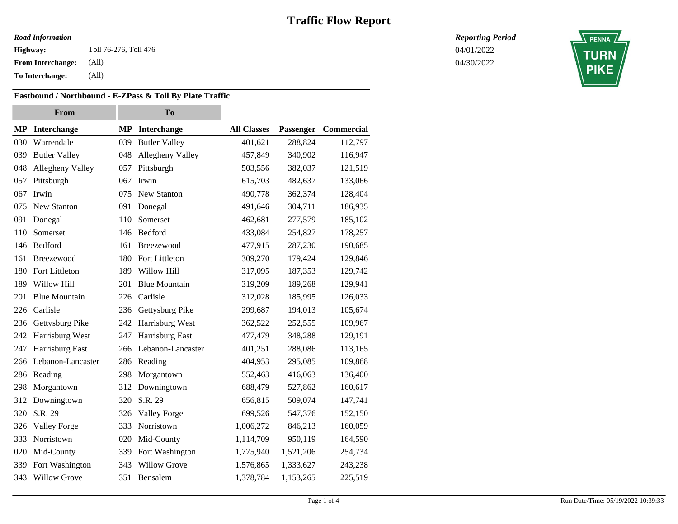### *Road Information*

**Highway:** 04/01/2022 Toll 76-276, Toll 476

**From Interchange:** (All)

**To Interchange:** (All)

### **Eastbound / Northbound - E-ZPass & Toll By Plate Traffic**

| From |                      | <b>To</b> |                      |                    |           |            |
|------|----------------------|-----------|----------------------|--------------------|-----------|------------|
| MP   | <b>Interchange</b>   | <b>MP</b> | Interchange          | <b>All Classes</b> | Passenger | Commercial |
| 030  | Warrendale           | 039       | <b>Butler Valley</b> | 401,621            | 288,824   | 112,797    |
| 039  | <b>Butler Valley</b> | 048       | Allegheny Valley     | 457,849            | 340,902   | 116,947    |
| 048  | Allegheny Valley     | 057       | Pittsburgh           | 503,556            | 382,037   | 121,519    |
| 057  | Pittsburgh           | 067       | Irwin                | 615,703            | 482,637   | 133,066    |
| 067  | Irwin                | 075       | New Stanton          | 490,778            | 362,374   | 128,404    |
| 075  | New Stanton          | 091       | Donegal              | 491,646            | 304,711   | 186,935    |
| 091  | Donegal              | 110       | Somerset             | 462,681            | 277,579   | 185,102    |
| 110  | Somerset             | 146       | Bedford              | 433,084            | 254,827   | 178,257    |
| 146  | Bedford              | 161       | Breezewood           | 477,915            | 287,230   | 190,685    |
| 161  | Breezewood           | 180       | Fort Littleton       | 309,270            | 179,424   | 129,846    |
| 180  | Fort Littleton       | 189       | Willow Hill          | 317,095            | 187,353   | 129,742    |
| 189  | Willow Hill          | 201       | <b>Blue Mountain</b> | 319,209            | 189,268   | 129,941    |
| 201  | <b>Blue Mountain</b> | 226       | Carlisle             | 312,028            | 185,995   | 126,033    |
| 226  | Carlisle             | 236       | Gettysburg Pike      | 299,687            | 194,013   | 105,674    |
| 236  | Gettysburg Pike      | 242       | Harrisburg West      | 362,522            | 252,555   | 109,967    |
| 242  | Harrisburg West      | 247       | Harrisburg East      | 477,479            | 348,288   | 129,191    |
| 247  | Harrisburg East      | 266       | Lebanon-Lancaster    | 401,251            | 288,086   | 113,165    |
| 266  | Lebanon-Lancaster    | 286       | Reading              | 404,953            | 295,085   | 109,868    |
| 286  | Reading              | 298       | Morgantown           | 552,463            | 416,063   | 136,400    |
| 298  | Morgantown           | 312       | Downingtown          | 688,479            | 527,862   | 160,617    |
| 312  | Downingtown          | 320       | S.R. 29              | 656,815            | 509,074   | 147,741    |
| 320  | S.R. 29              | 326       | <b>Valley Forge</b>  | 699,526            | 547,376   | 152,150    |
| 326  | <b>Valley Forge</b>  | 333       | Norristown           | 1,006,272          | 846,213   | 160,059    |
| 333  | Norristown           | 020       | Mid-County           | 1,114,709          | 950,119   | 164,590    |
| 020  | Mid-County           | 339       | Fort Washington      | 1,775,940          | 1,521,206 | 254,734    |
| 339  | Fort Washington      | 343       | <b>Willow Grove</b>  | 1,576,865          | 1,333,627 | 243,238    |
| 343  | <b>Willow Grove</b>  | 351       | Bensalem             | 1,378,784          | 1,153,265 | 225,519    |

*Reporting Period*

04/30/2022

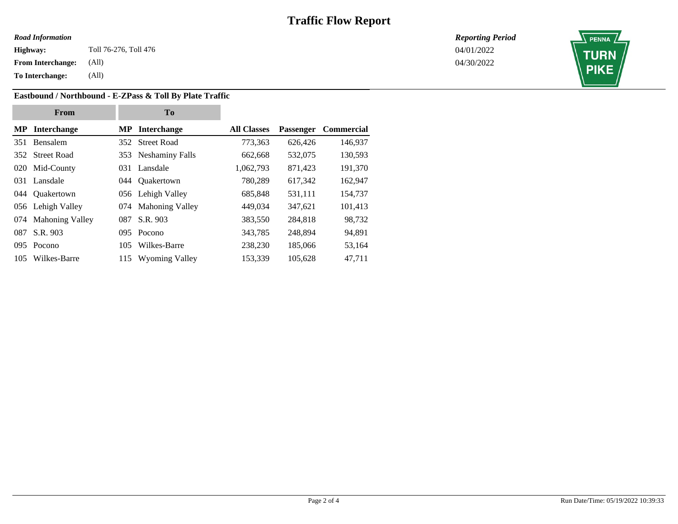#### *Road Information*

**Highway:** 04/01/2022 Toll 76-276, Toll 476

**From Interchange:** (All)

**To Interchange:** (All)

### **Eastbound / Northbound - E-ZPass & Toll By Plate Traffic**

**From To MP Interchange MP Interchange All Classes Passenger Commercial** 351 Bensalem 352 Street Road 773,363 626,426 146,937 352 Street Road 353 Neshaminy Falls 662,668 532,075 130,593 020 Mid-County 031 Lansdale 1,062,793 871,423 191,370 031 Lansdale 044 Quakertown 780,289 617,342 162,947 044 Quakertown 056 Lehigh Valley 685,848 531,111 154,737 056 Lehigh Valley 074 Mahoning Valley 449,034 347,621 101,413 074 Mahoning Valley 087 S.R. 903 383,550 284,818 98,732 087 S.R. 903 095 Pocono 343,785 248,894 94,891 095 Pocono 105 Wilkes-Barre 238,230 185,066 53,164 105 Wilkes-Barre 115 Wyoming Valley 153,339 105,628 47,711

*Reporting Period*

04/30/2022

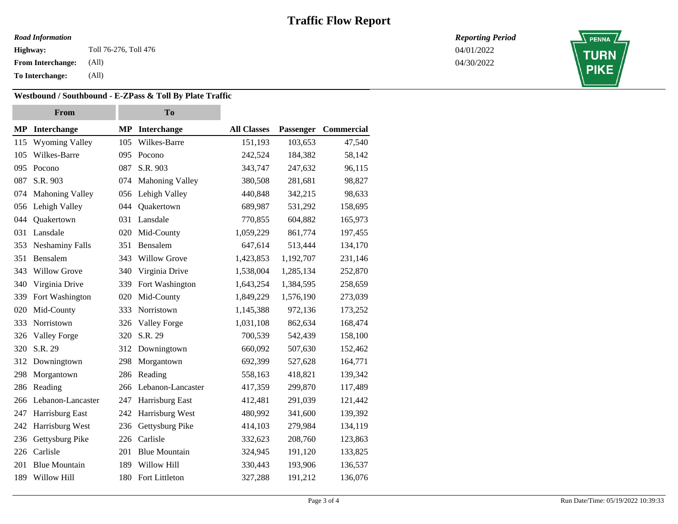### *Road Information*

**Highway:** 04/01/2022 Toll 76-276, Toll 476

**From Interchange:** (All)

**To Interchange:** (All)

### **Westbound / Southbound - E-ZPass & Toll By Plate Traffic**

| From |                        | To  |                      |                    |           |            |
|------|------------------------|-----|----------------------|--------------------|-----------|------------|
| MP   | <b>Interchange</b>     | MP  | Interchange          | <b>All Classes</b> | Passenger | Commercial |
| 115  | <b>Wyoming Valley</b>  | 105 | Wilkes-Barre         | 151,193            | 103,653   | 47,540     |
| 105  | Wilkes-Barre           | 095 | Pocono               | 242,524            | 184,382   | 58,142     |
| 095  | Pocono                 | 087 | S.R. 903             | 343,747            | 247,632   | 96,115     |
| 087  | S.R. 903               | 074 | Mahoning Valley      | 380,508            | 281,681   | 98,827     |
| 074  | <b>Mahoning Valley</b> | 056 | Lehigh Valley        | 440,848            | 342,215   | 98,633     |
| 056  | Lehigh Valley          | 044 | Quakertown           | 689,987            | 531,292   | 158,695    |
| 044  | Quakertown             | 031 | Lansdale             | 770,855            | 604,882   | 165,973    |
| 031  | Lansdale               | 020 | Mid-County           | 1,059,229          | 861,774   | 197,455    |
| 353  | <b>Neshaminy Falls</b> | 351 | Bensalem             | 647,614            | 513,444   | 134,170    |
| 351  | Bensalem               | 343 | <b>Willow Grove</b>  | 1,423,853          | 1,192,707 | 231,146    |
| 343  | <b>Willow Grove</b>    | 340 | Virginia Drive       | 1,538,004          | 1,285,134 | 252,870    |
| 340  | Virginia Drive         | 339 | Fort Washington      | 1,643,254          | 1,384,595 | 258,659    |
| 339  | Fort Washington        | 020 | Mid-County           | 1,849,229          | 1,576,190 | 273,039    |
| 020  | Mid-County             | 333 | Norristown           | 1,145,388          | 972,136   | 173,252    |
| 333  | Norristown             | 326 | Valley Forge         | 1,031,108          | 862,634   | 168,474    |
| 326  | <b>Valley Forge</b>    | 320 | S.R. 29              | 700,539            | 542,439   | 158,100    |
| 320  | S.R. 29                | 312 | Downingtown          | 660,092            | 507,630   | 152,462    |
| 312  | Downingtown            | 298 | Morgantown           | 692,399            | 527,628   | 164,771    |
| 298  | Morgantown             | 286 | Reading              | 558,163            | 418,821   | 139,342    |
| 286  | Reading                | 266 | Lebanon-Lancaster    | 417,359            | 299,870   | 117,489    |
| 266  | Lebanon-Lancaster      | 247 | Harrisburg East      | 412,481            | 291,039   | 121,442    |
| 247  | Harrisburg East        | 242 | Harrisburg West      | 480,992            | 341,600   | 139,392    |
| 242  | Harrisburg West        | 236 | Gettysburg Pike      | 414,103            | 279,984   | 134,119    |
| 236  | Gettysburg Pike        | 226 | Carlisle             | 332,623            | 208,760   | 123,863    |
| 226  | Carlisle               | 201 | <b>Blue Mountain</b> | 324,945            | 191,120   | 133,825    |
| 201  | <b>Blue Mountain</b>   | 189 | Willow Hill          | 330,443            | 193,906   | 136,537    |
| 189  | Willow Hill            | 180 | Fort Littleton       | 327,288            | 191,212   | 136,076    |

*Reporting Period*

04/30/2022